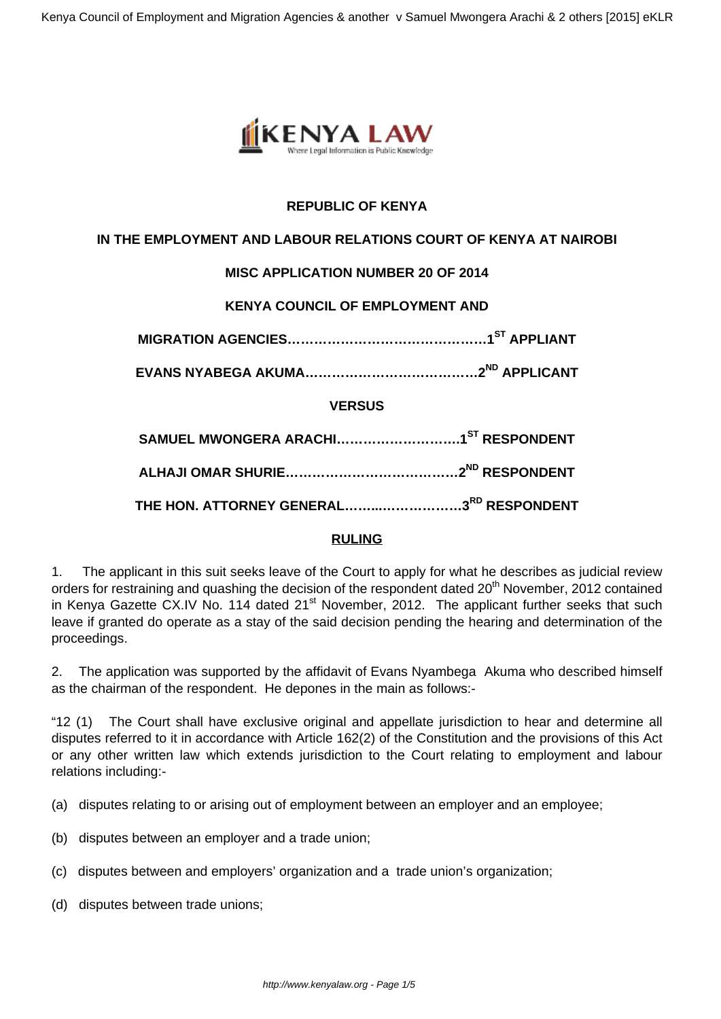

# **REPUBLIC OF KENYA**

## **IN THE EMPLOYMENT AND LABOUR RELATIONS COURT OF KENYA AT NAIROBI**

# **MISC APPLICATION NUMBER 20 OF 2014**

## **KENYA COUNCIL OF EMPLOYMENT AND**

**MIGRATION AGENCIES………………………………………1ST APPLIANT**

**EVANS NYABEGA AKUMA…………………………………2ND APPLICANT**

### **VERSUS**

| THE HON. ATTORNEY GENERAL3RD RESPONDENT |  |
|-----------------------------------------|--|

### **RULING**

1. The applicant in this suit seeks leave of the Court to apply for what he describes as judicial review orders for restraining and quashing the decision of the respondent dated 20<sup>th</sup> November, 2012 contained in Kenya Gazette CX.IV No. 114 dated  $21^{st}$  November, 2012. The applicant further seeks that such leave if granted do operate as a stay of the said decision pending the hearing and determination of the proceedings.

2. The application was supported by the affidavit of Evans Nyambega Akuma who described himself as the chairman of the respondent. He depones in the main as follows:-

"12 (1) The Court shall have exclusive original and appellate jurisdiction to hear and determine all disputes referred to it in accordance with Article 162(2) of the Constitution and the provisions of this Act or any other written law which extends jurisdiction to the Court relating to employment and labour relations including:-

- (a) disputes relating to or arising out of employment between an employer and an employee;
- (b) disputes between an employer and a trade union;
- (c) disputes between and employers' organization and a trade union's organization;
- (d) disputes between trade unions;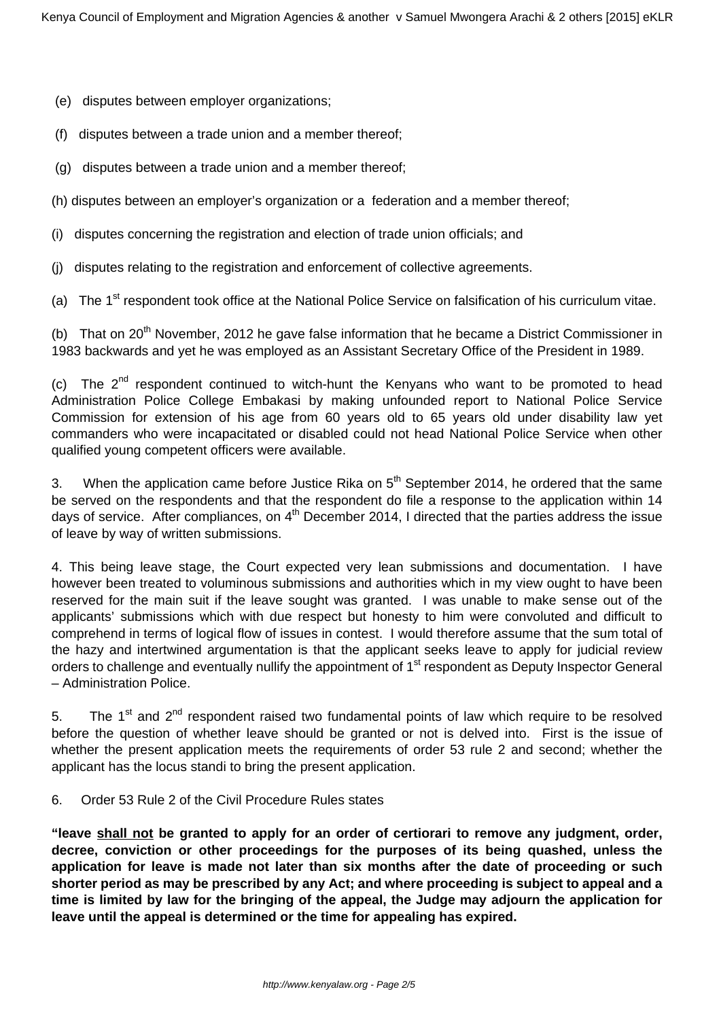- (e) disputes between employer organizations;
- (f) disputes between a trade union and a member thereof;
- (g) disputes between a trade union and a member thereof;
- (h) disputes between an employer's organization or a federation and a member thereof;
- (i) disputes concerning the registration and election of trade union officials; and
- (j) disputes relating to the registration and enforcement of collective agreements.

(a) The  $1<sup>st</sup>$  respondent took office at the National Police Service on falsification of his curriculum vitae.

(b) That on 20<sup>th</sup> November, 2012 he gave false information that he became a District Commissioner in 1983 backwards and yet he was employed as an Assistant Secretary Office of the President in 1989.

(c) The  $2^{nd}$  respondent continued to witch-hunt the Kenyans who want to be promoted to head Administration Police College Embakasi by making unfounded report to National Police Service Commission for extension of his age from 60 years old to 65 years old under disability law yet commanders who were incapacitated or disabled could not head National Police Service when other qualified young competent officers were available.

3. When the application came before Justice Rika on  $5<sup>th</sup>$  September 2014, he ordered that the same be served on the respondents and that the respondent do file a response to the application within 14 days of service. After compliances, on  $4<sup>th</sup>$  December 2014, I directed that the parties address the issue of leave by way of written submissions.

4. This being leave stage, the Court expected very lean submissions and documentation. I have however been treated to voluminous submissions and authorities which in my view ought to have been reserved for the main suit if the leave sought was granted. I was unable to make sense out of the applicants' submissions which with due respect but honesty to him were convoluted and difficult to comprehend in terms of logical flow of issues in contest. I would therefore assume that the sum total of the hazy and intertwined argumentation is that the applicant seeks leave to apply for judicial review orders to challenge and eventually nullify the appointment of 1<sup>st</sup> respondent as Deputy Inspector General – Administration Police.

5. The 1<sup>st</sup> and  $2^{nd}$  respondent raised two fundamental points of law which require to be resolved before the question of whether leave should be granted or not is delved into. First is the issue of whether the present application meets the requirements of order 53 rule 2 and second; whether the applicant has the locus standi to bring the present application.

#### 6. Order 53 Rule 2 of the Civil Procedure Rules states

**"leave shall not be granted to apply for an order of certiorari to remove any judgment, order, decree, conviction or other proceedings for the purposes of its being quashed, unless the application for leave is made not later than six months after the date of proceeding or such shorter period as may be prescribed by any Act; and where proceeding is subject to appeal and a time is limited by law for the bringing of the appeal, the Judge may adjourn the application for leave until the appeal is determined or the time for appealing has expired.**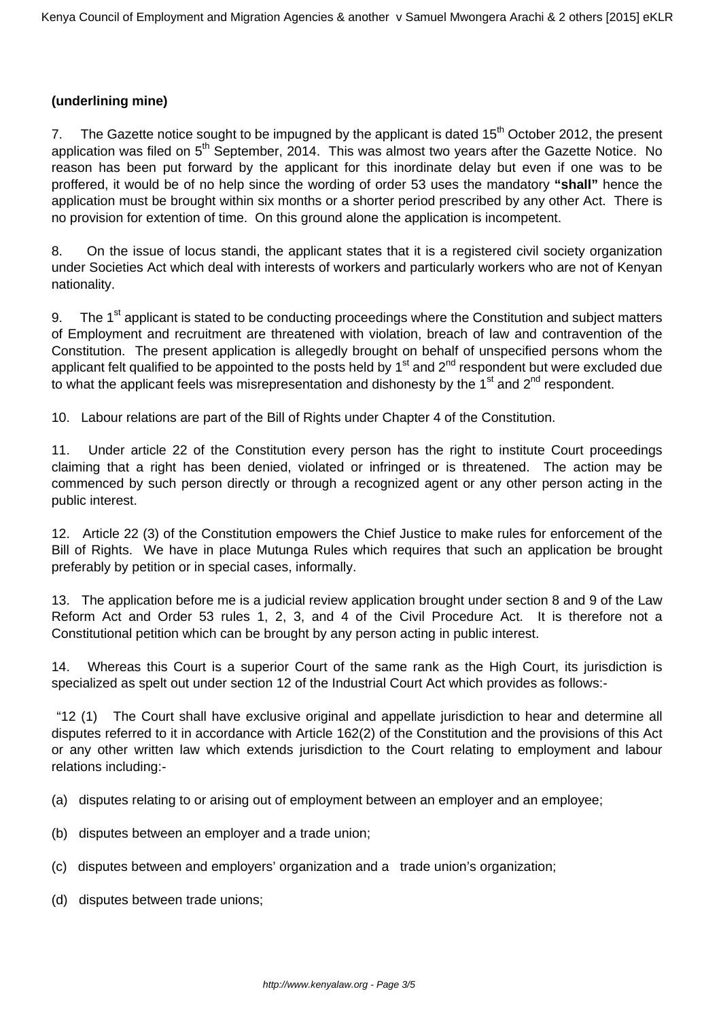## **(underlining mine)**

7. The Gazette notice sought to be impugned by the applicant is dated  $15<sup>th</sup>$  October 2012, the present application was filed on 5<sup>th</sup> September, 2014. This was almost two years after the Gazette Notice. No reason has been put forward by the applicant for this inordinate delay but even if one was to be proffered, it would be of no help since the wording of order 53 uses the mandatory **"shall"** hence the application must be brought within six months or a shorter period prescribed by any other Act. There is no provision for extention of time. On this ground alone the application is incompetent.

8. On the issue of locus standi, the applicant states that it is a registered civil society organization under Societies Act which deal with interests of workers and particularly workers who are not of Kenyan nationality.

9. The 1<sup>st</sup> applicant is stated to be conducting proceedings where the Constitution and subject matters of Employment and recruitment are threatened with violation, breach of law and contravention of the Constitution. The present application is allegedly brought on behalf of unspecified persons whom the applicant felt qualified to be appointed to the posts held by  $1<sup>st</sup>$  and  $2<sup>nd</sup>$  respondent but were excluded due to what the applicant feels was misrepresentation and dishonesty by the  $1<sup>st</sup>$  and  $2<sup>nd</sup>$  respondent.

10. Labour relations are part of the Bill of Rights under Chapter 4 of the Constitution.

11. Under article 22 of the Constitution every person has the right to institute Court proceedings claiming that a right has been denied, violated or infringed or is threatened. The action may be commenced by such person directly or through a recognized agent or any other person acting in the public interest.

12. Article 22 (3) of the Constitution empowers the Chief Justice to make rules for enforcement of the Bill of Rights. We have in place Mutunga Rules which requires that such an application be brought preferably by petition or in special cases, informally.

13. The application before me is a judicial review application brought under section 8 and 9 of the Law Reform Act and Order 53 rules 1, 2, 3, and 4 of the Civil Procedure Act. It is therefore not a Constitutional petition which can be brought by any person acting in public interest.

14. Whereas this Court is a superior Court of the same rank as the High Court, its jurisdiction is specialized as spelt out under section 12 of the Industrial Court Act which provides as follows:-

"12 (1) The Court shall have exclusive original and appellate jurisdiction to hear and determine all disputes referred to it in accordance with Article 162(2) of the Constitution and the provisions of this Act or any other written law which extends jurisdiction to the Court relating to employment and labour relations including:-

- (a) disputes relating to or arising out of employment between an employer and an employee;
- (b) disputes between an employer and a trade union;
- (c) disputes between and employers' organization and a trade union's organization;
- (d) disputes between trade unions;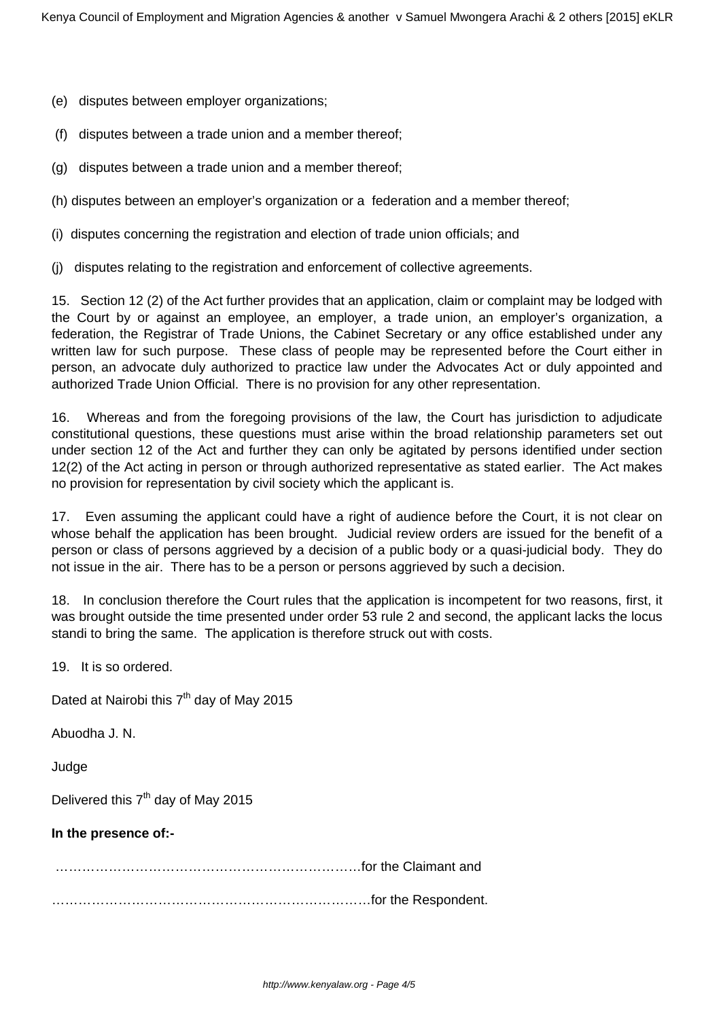- (e) disputes between employer organizations;
- (f) disputes between a trade union and a member thereof;
- (g) disputes between a trade union and a member thereof;
- (h) disputes between an employer's organization or a federation and a member thereof;
- (i) disputes concerning the registration and election of trade union officials; and
- (j) disputes relating to the registration and enforcement of collective agreements.

15. Section 12 (2) of the Act further provides that an application, claim or complaint may be lodged with the Court by or against an employee, an employer, a trade union, an employer's organization, a federation, the Registrar of Trade Unions, the Cabinet Secretary or any office established under any written law for such purpose. These class of people may be represented before the Court either in person, an advocate duly authorized to practice law under the Advocates Act or duly appointed and authorized Trade Union Official. There is no provision for any other representation.

16. Whereas and from the foregoing provisions of the law, the Court has jurisdiction to adjudicate constitutional questions, these questions must arise within the broad relationship parameters set out under section 12 of the Act and further they can only be agitated by persons identified under section 12(2) of the Act acting in person or through authorized representative as stated earlier. The Act makes no provision for representation by civil society which the applicant is.

17. Even assuming the applicant could have a right of audience before the Court, it is not clear on whose behalf the application has been brought. Judicial review orders are issued for the benefit of a person or class of persons aggrieved by a decision of a public body or a quasi-judicial body. They do not issue in the air. There has to be a person or persons aggrieved by such a decision.

18. In conclusion therefore the Court rules that the application is incompetent for two reasons, first, it was brought outside the time presented under order 53 rule 2 and second, the applicant lacks the locus standi to bring the same. The application is therefore struck out with costs.

19. It is so ordered.

Dated at Nairobi this  $7<sup>th</sup>$  day of May 2015

Abuodha J. N.

Judge

Delivered this  $7<sup>th</sup>$  day of May 2015

#### **In the presence of:-**

……………………………………………………………for the Claimant and

………………………………………………………………for the Respondent.